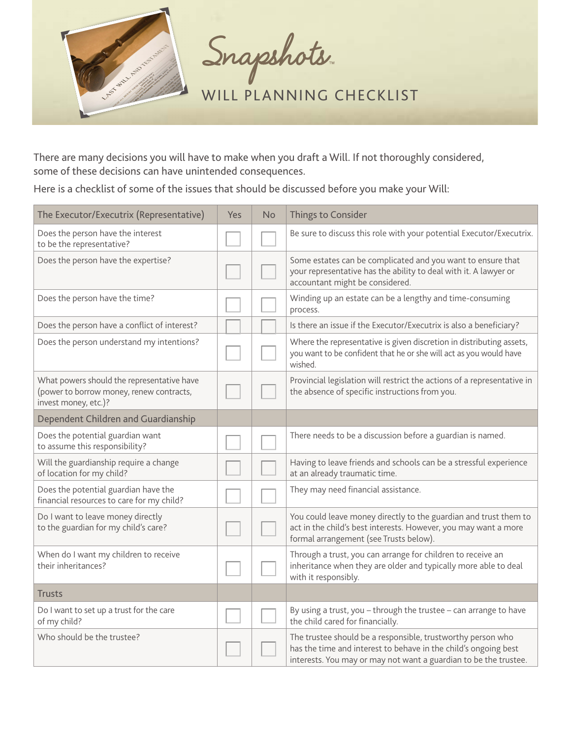

Snapshots.

WILL PLANNING CHECKLIST

There are many decisions you will have to make when you draft a Will. If not thoroughly considered, some of these decisions can have unintended consequences.

Here is a checklist of some of the issues that should be discussed before you make your Will:

| The Executor/Executrix (Representative)                                                                        | Yes | No | <b>Things to Consider</b>                                                                                                                                                                          |
|----------------------------------------------------------------------------------------------------------------|-----|----|----------------------------------------------------------------------------------------------------------------------------------------------------------------------------------------------------|
| Does the person have the interest<br>to be the representative?                                                 |     |    | Be sure to discuss this role with your potential Executor/Executrix.                                                                                                                               |
| Does the person have the expertise?                                                                            |     |    | Some estates can be complicated and you want to ensure that<br>your representative has the ability to deal with it. A lawyer or<br>accountant might be considered.                                 |
| Does the person have the time?                                                                                 |     |    | Winding up an estate can be a lengthy and time-consuming<br>process.                                                                                                                               |
| Does the person have a conflict of interest?                                                                   |     |    | Is there an issue if the Executor/Executrix is also a beneficiary?                                                                                                                                 |
| Does the person understand my intentions?                                                                      |     |    | Where the representative is given discretion in distributing assets,<br>you want to be confident that he or she will act as you would have<br>wished.                                              |
| What powers should the representative have<br>(power to borrow money, renew contracts,<br>invest money, etc.)? |     |    | Provincial legislation will restrict the actions of a representative in<br>the absence of specific instructions from you.                                                                          |
| Dependent Children and Guardianship                                                                            |     |    |                                                                                                                                                                                                    |
| Does the potential guardian want<br>to assume this responsibility?                                             |     |    | There needs to be a discussion before a guardian is named.                                                                                                                                         |
| Will the guardianship require a change<br>of location for my child?                                            |     |    | Having to leave friends and schools can be a stressful experience<br>at an already traumatic time.                                                                                                 |
| Does the potential guardian have the<br>financial resources to care for my child?                              |     |    | They may need financial assistance.                                                                                                                                                                |
| Do I want to leave money directly<br>to the guardian for my child's care?                                      |     |    | You could leave money directly to the guardian and trust them to<br>act in the child's best interests. However, you may want a more<br>formal arrangement (see Trusts below).                      |
| When do I want my children to receive<br>their inheritances?                                                   |     |    | Through a trust, you can arrange for children to receive an<br>inheritance when they are older and typically more able to deal<br>with it responsibly.                                             |
| <b>Trusts</b>                                                                                                  |     |    |                                                                                                                                                                                                    |
| Do I want to set up a trust for the care<br>of my child?                                                       |     |    | By using a trust, you - through the trustee - can arrange to have<br>the child cared for financially.                                                                                              |
| Who should be the trustee?                                                                                     |     |    | The trustee should be a responsible, trustworthy person who<br>has the time and interest to behave in the child's ongoing best<br>interests. You may or may not want a guardian to be the trustee. |